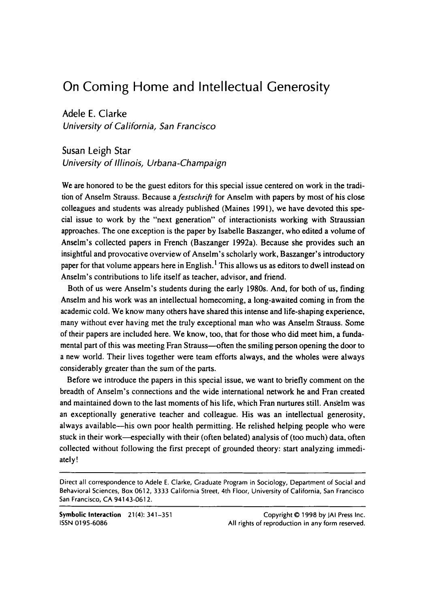# On Coming Home and Intellectual Generosity

Adele E. Clarke

*University of California, San Francisco* 

Susan Leigh Star *University of Illinois, Urbana-Champaign* 

We are honored to be the guest editors for this special issue centered on work in the tradition of Anselm Strauss. Because a *festschrift* for Anselm with papers by most of his close colleagues and students was already published (Maines 1991). we have devoted this special issue to work by the "next generation" of interactionists working with Straussian approaches. The one exception is the paper by Isabelle Baszanger, who edited a volume of Anselm's collected papers in French (Baszanger 1992a). Because she provides such an insightful and provocative overview of Anselm's scholarly work, Baszanger's introductory paper for that volume appears here in English.<sup>1</sup> This allows us as editors to dwell instead on Anselm's contributions to life itself as teacher, advisor, and friend.

Both of us were Anselm's students during the early 1980s. And, for both of us. finding Anselm and his work was an intellectual homecoming, a long-awaited coming in from the academic cold. We know many others have shared this intense and life-shaping experience, many without ever having met the truly exceptional man who was Anselm Strauss. Some of their papers are included here. We know, too, that for those who did meet him, a fundamental part of this was meeting Fran Strauss--often the smiling person opening the door to a new world. Their lives together were team efforts always, and the wholes were always considerably greater than the sum of the parts.

Before we introduce the papers in this special issue, we want to briefly comment on the breadth of Anselm's connections and the wide international network he and Fran created and maintained down to the last moments of his life, which Fran nurtures still. Ans'elm was an exceptionally generative teacher and colleague. His was an intellectual generosity, always available-his own poor health permitting. He relished helping people who were stuck in their work—especially with their (often belated) analysis of (too much) data, often collected without following the first precept of grounded theory: start analyzing immediately!

**Symbolic Interaction** 21(4): 341-351 ISSN 01 95-6086

Copyright *8* 1998 by JAl Press Inc. All rights of reproduction in any form reserved.

Direct all correspondence to Adele E. Clarke, Graduate Program in Sociology, Department of Social and Behavioral Sciences, **Box** 061 **2,** 3333 California Street, 4th Floor, University of California, San Francisco San Francisco, CA 94143-061 **2.**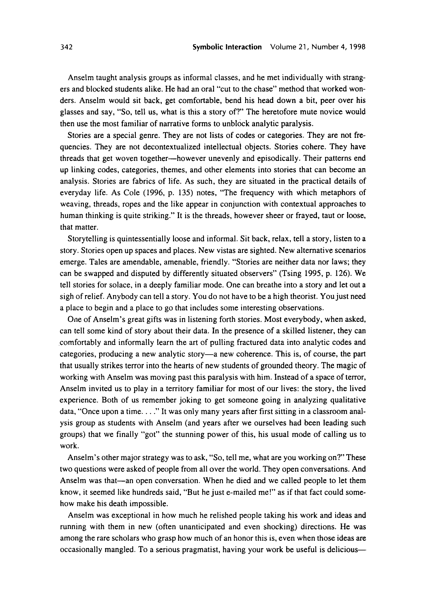Anselm taught analysis groups as informal classes, and he met individually with strangers and blocked students alike. He had an oral "cut to the chase" method that worked wonders. Anselm would sit back, get comfortable, bend his head down a bit, peer over his glasses and say, "So, tell us, what is this a story of?' The heretofore mute novice would then use the most familiar of narrative forms to unblock analytic paralysis.

Stories are a special genre. They are not lists of codes or categories. They are not frequencies. They are not decontextualized intellectual objects. Stories cohere. They have threads that get woven together-however unevenly and episodically. Their patterns end up linking codes, categories, themes, and other elements into stories that can become an analysis. Stories are fabrics of life. As such, they are situated in the practical details of everyday life. **As** Cole **(1996,** p. 135) notes, "The frequency with which metaphors of weaving, threads, ropes and the like appear in conjunction with contextual approaches to human thinking is quite striking." It is the threads, however sheer or frayed, taut or loose, that matter.

Storytelling is quintessentially loose and informal. Sit back, relax, tell a story, listen to a story. Stories open up spaces and places. New vistas are sighted. New alternative scenarios emerge. Tales are amendable, amenable, friendly. "Stories are neither data nor laws; they can be swapped and disputed by differently situated observers" (Tsing 1995, p. 126). We tell stories for solace, in a deeply familiar mode. One can breathe into a story and let out a sigh of relief. Anybody can tell a story. You do not have to be a high theorist. You just need a place to begin and a place to go that includes some interesting observations.

One of Anselm's great gifts was in listening forth stories. Most everybody, when asked, can tell some kind of story about their data. In the presence of a skilled listener, they can comfortably and informally learn the art of pulling fractured data into analytic codes and categories, producing a new analytic story-a new coherence. This is, of course, the part that usually strikes terror into the hearts of new students of grounded theory. The magic of working with Anselm was moving past this paralysis with him. Instead of a space of terror, Anselm invited us to play in a territory familiar for most of our lives: the story, the lived experience. Both of us remember joking to get someone going in analyzing qualitative data, "Once upon a time. . . ." It was only many years after first sitting in a classroom analysis group as students with Anselm (and years after we ourselves had been leading such groups) that we finally "got" the stunning power of this, his usual mode of calling us to work.

Anselm's other major strategy was to ask, "So, tell me, what are you working on?' These two questions were asked of people from all over the world. They open conversations. And Anselm was that-an open conversation. When he died and we called people to let them know, it seemed like hundreds said, "But he just e-mailed me!" as if that fact could somehow make his death impossible.

Anselm was exceptional in how much he relished people taking his work and ideas and running with them in new (often unanticipated and even shocking) directions. He was among the rare scholars who grasp how much of an honor this is, even when those ideas are occasionally mangled. To a serious pragmatist, having your work be useful is delicious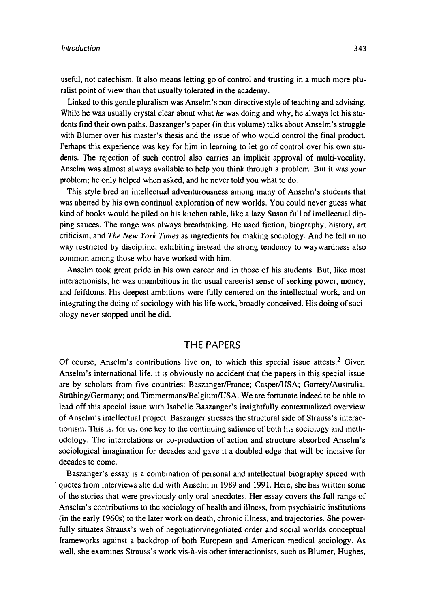useful, not catechism. It also means letting go of control and trusting in a much more pluralist point of view than that usually tolerated in the academy.

Linked to this gentle pluralism was Anselm's non-directive style of teaching and advising. While he was usually crystal clear about what *he* was doing and why, he always let his students find their own paths. Baszanger's paper (in this volume) talks about Anselm's struggle with Blumer over his master's thesis and the issue of who would control the final product. Perhaps this experience was key for him in learning to let go of control over his own students. The rejection of such control also carries an implicit approval of multi-vocality. Anselm was almost always available to help you think through a problem. But it was *your*  problem; he only helped when asked, and he never told you what to do.

This style bred an intellectual adventurousness among many of Anselm's students that was abetted by his own continual exploration of new worlds. You could never guess what kind of books would be piled on his kitchen table, like a lazy Susan full of intellectual dipping sauces. The range was always breathtaking. He used fiction, biography, history, art criticism, and *The New York Times* as ingredients for making sociology. And he felt in no way restricted by discipline, exhibiting instead the strong tendency to waywardness also common among those who have worked with him.

Anselm took great pride in his own career and in those of his students. But, like most interactionists, he was unambitious in the usual careerist sense of seeking power, money, and feifdoms. His deepest ambitions were fully centered on the intellectual work, and on integrating the doing of sociology with his life work, broadly conceived. His doing of sociology never stopped until he did.

# THE PAPERS

Of course, Anselm's contributions live on, to which this special issue attests.<sup>2</sup> Given Anselm's international life, it is obviously no accident that the papers in this special issue are by scholars from five countries: Baszanger/France; Casper/USA; Garrety/Australia, Striibing/Germany; and Timmermans/Belgium/USA. We are fortunate indeed to be able to lead off this special issue with Isabelle Baszanger's insightfully contextualized overview of Anselm's intellectual project. Baszanger stresses the structural side of Strauss's interactionism. This is, for us, one key to the continuing salience of both his sociology and methodology. The interrelations or co-production of action and structure absorbed Anselm's sociological imagination for decades and gave it a doubled edge that will be incisive for decades to come.

Baszanger's essay is a combination of personal and intellectual biography spiced with quotes from interviews she did with Anselm in 1989 and 1991. Here, she has written some of the stories that were previously only oral anecdotes. Her essay covers the full range of Anselm's contributions to the sociology of health and illness, from psychiatric institutions (in the early 1960s) to the later work on death, chronic illness, and trajectories. She powerfully situates Strauss's web of negotiation/negotiated order and social worlds conceptual frameworks against a backdrop of both European and American medical sociology. As well, she examines Strauss's work vis-8-vis other interactionists, such as Blumer, Hughes,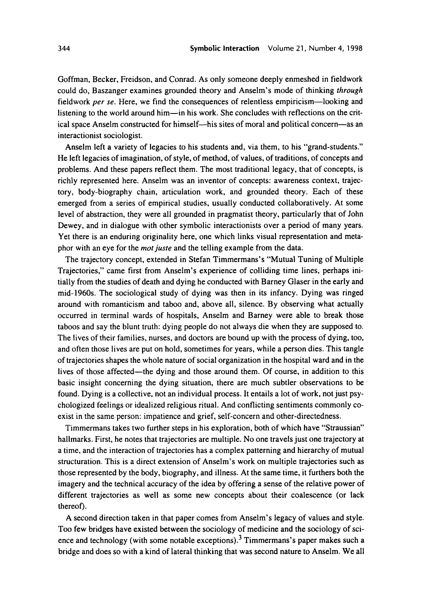Goffman, Becker, Freidson, and Conrad. As only someone deeply enmeshed in fieldwork could do, Baszanger examines grounded theory and Anselm's mode of thinking *through*  fieldwork *per se*. Here, we find the consequences of relentless empiricism—looking and listening to the world around him-in his work. She concludes with reflections on the critical space Anselm constructed for himself-his sites of moral and political concern-as an interactionist sociologist.

Anselm left a variety of legacies to his students and, via them, to his "grand-students." He left legacies of imagination, of style, of method, of values, of traditions, of concepts and problems. And these papers reflect them. The most traditional legacy, that of concepts, is richly represented here. Anselm was an inventor of concepts: awareness context, trajectory, body-biography chain, articulation work, and grounded theory. Each of these emerged from a series of empirical studies, usually conducted collaboratively. At some level of abstraction, they were all grounded in pragmatist theory, particularly that of John Dewey, and in dialogue with other symbolic interactionists over a period of many years. Yet there is an enduring originality here, one which links visual representation and metaphor with an eye for the *mot juste* and the telling example from the data.

The trajectory concept, extended in Stefan Timmermans's "Mutual Tuning of Multiple Trajectories," came first from Anselm's experience of colliding time lines, perhaps initially from the studies of death and dying he conducted with Barney Glaser in the early and mid-1960s. The sociological study of dying was then in its infancy. Dying was ringed around with romanticism and taboo and, above all, silence. By observing what actually occurred in terminal wards of hospitals, Anselm and Barney were able to break those taboos and say the blunt truth: dying people do not always die when they are supposed to. The lives of their families, nurses, and doctors are bound up with the process of dying, too, and often those lives are put on hold, sometimes for years, while a person dies. This tangle of trajectories shapes the whole nature of social organization in the hospital ward and in the lives of those affected—the dying and those around them. Of course, in addition to this basic insight concerning the dying situation, there are much subtler observations to be found. Dying is a collective, not an individual process. It entails a lot of work, not just psychologized feelings or idealized religious ritual. And conflicting sentiments commonly coexist in the same person: impatience and grief, self-concern and other-directedness.

Timmermans takes two further steps in his exploration, both of which have "Straussian" hallmarks. First, he notes that trajectories are multiple. No one travels just one trajectory at a time, and the interaction of trajectories has a complex patterning and hierarchy of mutual structuration. This is a direct extension of Anselm's work on multiple trajectories such as those represented by the body, biography, and illness. At the same time, it furthers both the imagery and the technical accuracy of the idea by offering a sense of the relative power of different trajectories as well as some new concepts about their coalescence (or lack thereof).

A second direction taken in that paper comes from Anselm's legacy of values and style. Too few bridges have existed between the sociology of medicine and the sociology of science and technology (with some notable exceptions).<sup>3</sup> Timmermans's paper makes such a bridge and does so with a kind of lateral thinking that was second nature to Anselm. We all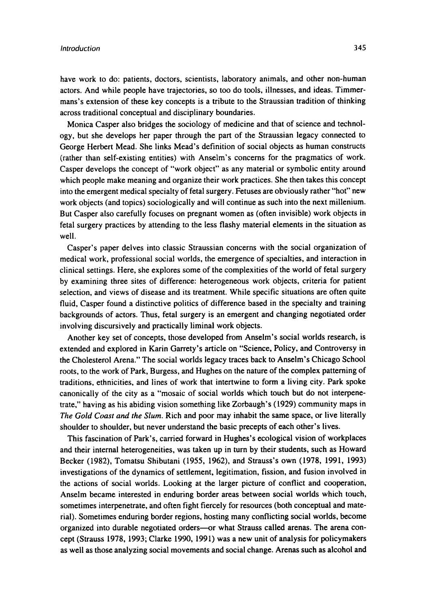have work to do: patients, doctors, scientists, laboratory animals, and other non-human actors. And while people have trajectories, so too do tools, illnesses, and ideas. Timmermans's extension of these key concepts is a tribute to the Straussian tradition of thinking across traditional conceptual and disciplinary boundaries.

Monica Casper also bridges the sociology of medicine and that of science and technology, but she develops her paper through the part of the Straussian legacy connected to George Herbert Mead. She links Mead's definition of social objects as human constructs (rather than self-existing entities) with Anselm's concerns for the pragmatics of work. Casper develops the concept of "work object" as any material or symbolic entity around which people make meaning and organize their work practices. She then takes this concept into the emergent medical specialty of fetal surgery. Fetuses are obviously rather "hot" new work objects (and topics) sociologically and will continue as such into the next millenium. But Casper also carefully focuses on pregnant women as (often invisible) work objects in fetal surgery practices by attending to the less flashy material elements in the situation as well.

Casper's paper delves into classic Straussian concerns with the social organization of medical work, professional social worlds, the emergence of specialties, and interaction in clinical settings. Here, she explores some of the complexities of the world of fetal surgery by examining three sites of difference: heterogeneous work objects, criteria for patient selection, and views of disease and its treatment. While specific situations are often quite fluid, Casper found a distinctive politics of difference based in the specialty and training backgrounds of actors. Thus, fetal surgery is an emergent and changing negotiated order involving discursively and practically liminal work objects.

Another key set of concepts, those developed from Anselm's social worlds research, is extended and explored in Karin Garrety's article on "Science, Policy, and Controversy in the Cholesterol Arena." The social worlds legacy traces back to Anselm's Chicago School roots, to the work of Park, Burgess, and Hughes on the nature of the complex patterning of traditions, ethnicities, and lines of work that intertwine to form a living city. Park spoke canonically of the city as a "mosaic of social worlds which touch but do not interpenetrate," having **as** his abiding vision something like Zorbaugh's (1929) community maps in The Gold *Coast and* the *Slum.* Rich and poor may inhabit the same space, or live literally shoulder to shoulder, but never understand the basic precepts of each other's lives.

This fascination of Park's, carried forward in Hughes's ecological vision of workplaces and their internal heterogeneities, was taken up in turn by their students, such as Howard Becker (1982), Tomatsu Shibutani (1955, 1962), and Strauss's own (1978, 1991, 1993) investigations of the dynamics of settlement, legitimation, fission, and fusion involved in the actions of social worlds. Looking at the larger picture of conflict and cooperation, Anselm became interested in enduring border areas between social worlds which touch, sometimes interpenetrate, and often fight fiercely for resources (both conceptual and material). Sometimes enduring border regions, hosting many conflicting social worlds, become organized into durable negotiated orders-or what Strauss called arenas. The arena concept (Strauss 1978, 1993; Clarke 1990. 1991) was a new unit of analysis for policymakers as well as those analyzing social movements and social change. Arenas such as alcohol and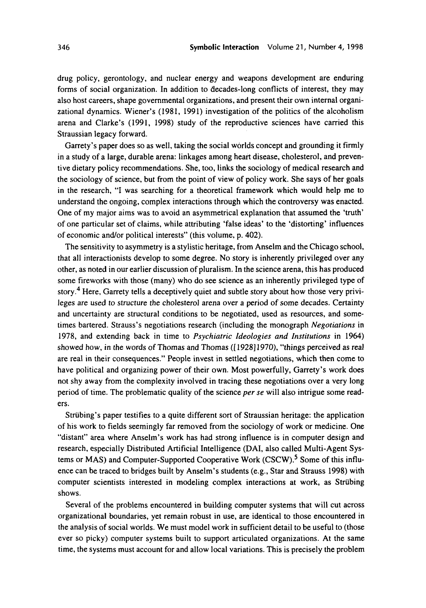drug policy, gerontology, and nuclear energy and weapons development are enduring forms of social organization. **In** addition to decades-long conflicts of interest, they may also host careers, shape governmental organizations, and present their own internal organizational dynamics. Wiener's (1981, 1991) investigation of the politics of the alcoholism arena and Clarke's (1991, 1998) study of the reproductive sciences have carried this Straussian legacy forward.

Garrety's paper does so as well, taking the social worlds concept and grounding it firmly in a study of a large, durable arena: linkages among heart disease, cholesterol, and preventive dietary policy recommendations. She, too, links the sociology of medical research and the sociology of science, but from the point of view of policy work. She says of her goals in the research, "I was searching for a theoretical framework which would help me to understand the ongoing, complex interactions through which the controversy was enacted. One of my major aims was to avoid an asymmetrical explanation that assumed the 'truth' of one particular set of claims, while attributing 'false ideas' to the 'distorting' influences of economic andor political interests" (this volume, p. 402).

The sensitivity to asymmetry is a stylistic heritage, from Anselm and the Chicago school, that all interactionists develop to some degree. No story is inherently privileged over any other, as noted in our earlier discussion of pluralism. **In** the science arena, this has produced some fireworks with those (many) who do see science as an inherently privileged type of story.<sup>4</sup> Here, Garrety tells a deceptively quiet and subtle story about how those very privileges are used to structure the cholesterol arena over a period of some decades. Certainty and uncertainty are structural conditions to be negotiated, used as resources, and sometimes bartered. Straws's negotiations research (including the monograph *Negotiations* in 1978, and extending back in time to *Psychiatric Ideologies and Institutions* in 1964) showed how, in the words of Thomas and Thomas ([1928]1970), "things perceived as real are real in their consequences." People invest in settled negotiations, which then come to have political and organizing power of their own. Most powerfully, Garrety's work does not shy away from the complexity involved in tracing these negotiations over a very long period of time. The problematic quality of the science *per* **se** will also intrigue some readers.

Striibing's paper testifies to a quite different sort of Straussian heritage: the application of his work to fields seemingly far removed from the sociology of work or medicine. One "distant" area where Anselm's work has had strong influence is in computer design and research, especially Distributed Artificial Intelligence (DAI, also called Multi-Agent Systems or MAS) and Computer-Supported Cooperative Work (CSCW).<sup>5</sup> Some of this influence can be traced to bridges built by Anselm's students (e.g., Star and Strauss 1998) with computer scientists interested in modeling complex interactions at work, as Striibing shows.

Several of the problems encountered in building computer systems that will cut across organizational boundaries, yet remain robust in use, are identical to those encountered in the analysis of social worlds. We must model work in sufficient detail to be useful to (those ever so picky) computer systems built to support articulated organizations. At the same time, the systems must account for and allow local variations. This is precisely the problem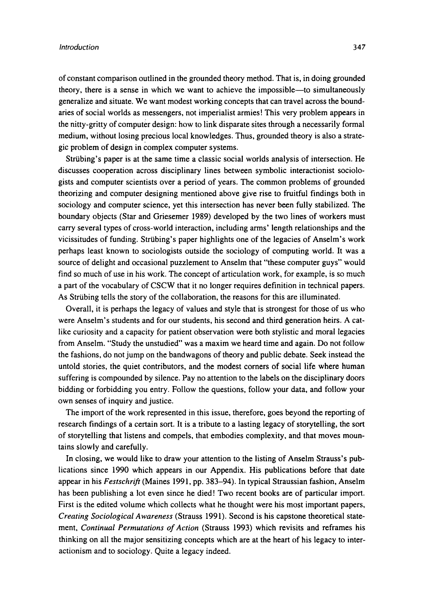of constant comparison outlined in the grounded theory method. That is, in doing grounded theory, there is a sense in which we want to achieve the impossible-to simultaneously generalize and situate. We want modest working concepts that can travel across the boundaries of social worlds as messengers, not imperialist armies! This very problem appears in the nitty-gritty of computer design: how to link disparate sites through a necessarily formal medium, without losing precious local knowledges. Thus, grounded theory is also a strategic problem of design in complex computer systems.

Striibing's paper is at the same time a classic social worlds analysis of intersection. He discusses cooperation across disciplinary lines between symbolic interactionist sociologists and computer scientists over a period of years. The common problems of grounded theorizing and computer designing mentioned above give rise to fruitful findings both in sociology and computer science, yet this intersection has never been fully stabilized. The boundary objects (Star and Griesemer 1989) developed by the two lines of workers must carry several types of cross-world interaction, including arms' length relationships and the vicissitudes of funding. Striibing's paper highlights one of the legacies of Anselm's work perhaps least known to sociologists outside the sociology of computing world. **It** was a source of delight and occasional puzzlement to Anselm that "these computer guys" would find so much of **use** in his work. The concept of articulation work, for example, **is** so much a part of the vocabulary of CSCW that it no longer requires definition in technical papers. As Striibing tells the story of the collaboration, the reasons for this are illuminated.

Overall, it is perhaps the legacy of values and style that is strongest for those of us who were Anselm's students and for our students, his second and third generation heirs. **A** catlike curiosity and a capacity for patient observation were both stylistic and moral legacies from Anselm. "Study the unstudied" was a maxim we heard time and again. Do not follow the fashions, do not jump on the bandwagons of theory and public debate. Seek instead the untold stories, the quiet contributors, and the modest corners of social life where human suffering is compounded by silence. Pay no attention to the labels on the disciplinary doors bidding or forbidding you entry. Follow the questions, follow your data, and follow your own senses of inquiry and justice.

The import of the work represented in this issue, therefore, goes beyond the reporting of research findings of a certain sort. It is a tribute to a lasting legacy of storytelling, the sort of storytelling that listens and compels, that embodies complexity, and that moves mountains slowly and carefully.

In closing, we would like to draw your attention to the listing of Anselm Strauss's publications since 1990 which appears in our Appendix. His publications before that date appear in his *Festschrift* (Maines 1991, pp. 383-94). **In** typical Straussian fashion, Anselm has been publishing a lot even since he died! Two recent books are of particular import. First is the edited volume which collects what he thought were his most important papers, *Creating Sociological Awareness* (Strauss 1991). Second is his capstone theoretical statement, *Continual Permutations* of *Action* (Strauss 1993) which revisits and reframes his thinking on all the major sensitizing concepts which are at the heart of his legacy to interactionism and to sociology. Quite a legacy indeed.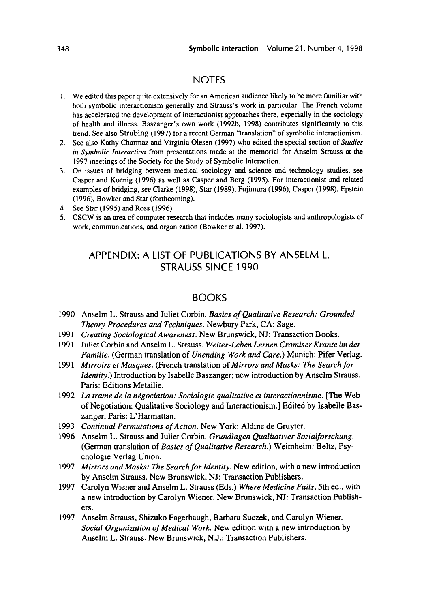# NOTES

- **1.** We edited this paper quite extensively for an American audience likely to be more familiar with both symbolic interactionism generally and Straws's work in particular. The French volume has accelerated the development of interactionist approaches there, especially in the sociology of health and illness. Baszanger's own work (1992b, 1998) contributes significantly to this trend. See also Strubing (1997) for a recent German "translation" of symbolic interactionism.
- 2. See also Kathy Charmaz and Virginia Olesen (1997) who edited the special section of *Studies in* Symbolic *Interucrion* from presentations made at the memorial for Anselm Strauss at the 1997 meetings of the Society for the Study of Symbolic Interaction.
- 3. On issues of bridging between medical sociology and science and technology studies, see Casper and Koenig (1996) **as** well **as** Casper and Berg (1995). For interactionist and related examples of bridging, see Clarke (1998), Star (1989), Fujimura (1996). Casper (1998). Epstein (1996). Bowker and Star (forthcoming).
- **4.** See Star (1995) and Ross (1996).
- 5. CSCW is **an** area of computer research that includes many sociologists and anthropologists of work, communications, and organization (Bowker et al. 1997).

# APPENDIX: A LIST OF PUBLICATIONS BY ANSELM L. STRAUSS SINCE 1990

#### BOOKS

- 1990 Anselm L. Strauss and Juliet Corbin. *Basics of Qualitative Research: Grounded Theory Procedures and Techniques.* Newbury Park, CA: Sage.
- 1991 *Creating Sociological Awareness.* New Brunswick, NJ: Transaction Books.
- 1991 Juliet Corbin and Anselm L. Strauss. *Weiter-Leben Lernen Cromiser Krunte im der Familie.* (German translation of *Unending Work and Care.)* Munich: Pifer Verlag.
- 1991 *Mirroirs et Masques.* (French translation of *Mirrors and Masks: The Search for Identity.)* Introduction by Isabelle Baszanger; new introduction by Anselm Strauss. Paris: Editions Metailie.
- 1992 *La trame de la nkgociation: Sociologie qualitative et interactionnisme.* [The Web of Negotiation: Qualitative Sociology and Interactionism.] Edited by Isabelle Baszanger. Paris: L'Harmattan.
- 1993 *Continual Permutations of Action.* New York: Aldine de Gruyter.
- 1996 Anselm L. Strauss and Juliet Corbin. *Grundlagen Qualitativer Sozialforschung.*  (German translation of *Basics of Qualitative Research.)* Weimheim: Beltz, Psychologie Verlag Union.
- 1997 *Mirrors and Masks: The Search for Identity.* New edition, with a new introduction by Anselm Strauss. New Brunswick, NJ: Transaction Publishers.
- 1997 Carolyn Wiener and Anselm L. Strauss (Eds.) *Where Medicine Fails,* 5th ed., with a new introduction by Carolyn Wiener. New Brunswick, NJ: Transaction Publishers.
- 1997 Anselm Strauss, Shizuko Fagerhaugh, Barbara Suczek, and Carolyn Wiener. *Social Organization of Medical Work.* New edition with a new introduction by Anselm L. Strauss. New Brunswick. N.J.: Transaction Publishers.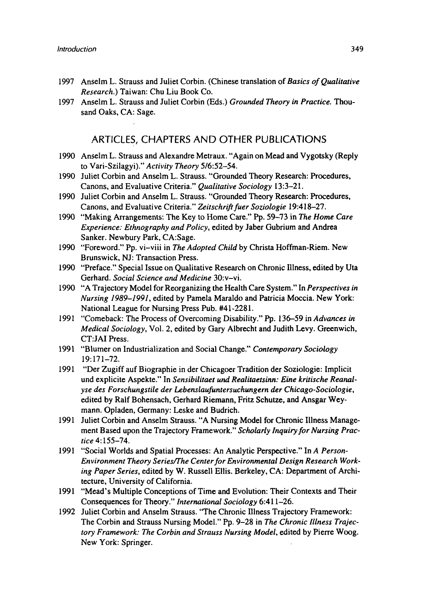- 1997 Anselm L. Strauss and Juliet Corbin. (Chinese translation of *Basics of Qualitative Research.)* Taiwan: Chu Liu Book Co.
- 1997 Anselm L. Strauss and Juliet Corbin (Eds.) *Grounded Theory in Practice.* Thousand Oaks, CA: Sage.

### **ARTICLES, CHAPTERS AND OTHER PUBLICATIONS**

- 1990 Anselm L. Strauss and Alexandre Metraux. "Again on Mead and Vygotsky (Reply to Vari-Szilagyi)." Activity Theory 5/6:52-54.
- 1990 Juliet Corbin and Anselm L. Strauss. "Grounded Theory Research: Procedures, Canons, and Evaluative Criteria." *Qualitative Sociology* 13:3-21.
- 1990 Juliet Corbin and Anselm L. Strauss. "Grounded Theory Research: Procedures, Canons, and Evaluative Criteria." *Zeitschrifr fuer Soziologie* 19:418-27.
- 1990 "Making Arrangements: The Key to Home Care." Pp. 59-73 in *The Home Care Experience: Ethnography and Policy,* edited by Jaber Gubrium and Andrea Sanker. Newbury Park, CA:Sage.
- 1990 "Foreword." Pp. vi-viii in *The Adopted Child* by Christa Hoffman-Riem. New Brunswick, NJ: Transaction Press.
- I990 "Preface." Special Issue on Qualitative Research on Chronic Illness, edited by Uta Gerhard. *Social Science and Medicine* 3O:v-vi.
- 1990 "A Trajectory Model for Reorganizing the Health Care System." In *Perspectives in Nursing 1989-1991,* edited by Pamela Maraldo and Patricia Moccia. New York: National League for Nursing Press Pub. #41-2281.
- 1991 "Comeback: The Process of Overcoming Disability." *Pp.* 136-59 in *Advances in Medical Sociology,* Vol. 2, edited by Gary Albrecht and Judith Levy. Greenwich, CT:JAI Press.
- 1991 "Blumer on Industrialization and Social Change." Contemporary Sociology 19:171-72.
- 1991 "Der Zugiff auf Biographie in der Chicagoer Tradition der Soziologie: Implicit und explicite Aspekte." In *Sensibilitaet und Realitaetsinn: Eine kritische Reanalyse des Forschungstile der Lebenslaufintersuchungern der Chicago-Sociologie.*  edited by Ralf Bohensach, Gerhard Riemann. Fritz Schutze, and Ansgar Weymann. Opladen, Germany: Leske and Budrich.
- 1991 Juliet Corbin and Anselm Strauss. "A Nursing Model for Chronic Illness Management Based upon the Trajectory Framework." *Scholarly Inquiry for Nursing Practice* **4:** 155-74.
- 1991 "Social Worlds and Spatial Processes: An Analytic Perspective." In A *Person-***Environment Theory Series/The Center for Environmental Design Research Work***ing Paper Series,* edited by *W.* Russell Ellis. Berkeley, CA: Department of Architecture, University of California.
- 1991 "Mead's Multiple Conceptions of Time and Evolution: Their Contexts and Their Consequences for Theory." *International Sociology* 6:411-26.
- 1992 Juliet Corbin and Anselm Strauss. "The Chronic Illness Trajectory Framework: The Corbin and Strauss Nursing Model." Pp. 9-28 in *The Chronic Illness Trajectory Framework: The Corbin and Strauss Nursing Model,* edited by Pierre Woog. New York: Springer.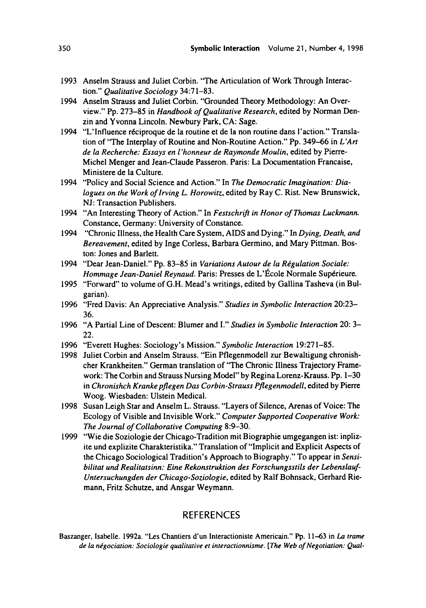- 1993 Anselm Strauss and Juliet Corbin. "The Articulation of Work Through Interaction." *Qualitative Sociology* 34:71-83.
- 1994 Anselm Strauss and Juliet Corbin. "Grounded Theory Methodology: An Overview." Pp. 273-85 in *Handbook of Qualitative Research,* edited by Norman Denzin and Yvonna Lincoln. Newbury Park, CA: Sage.
- 1994 "L'Influence réciproque de la routine et de la non routine dans l'action." Translation of "The Interplay of Routine and Non-Routine Action." Pp. 349-66 in *L'Art de la Recherche: Essays en l'honneur de Raymonde Moulin,* edited by Pierre-Michel Menger and Jean-Claude Passeron. Paris: La Documentation Francaise. Ministere de la Culture.
- 1994 "Policy and Social Science and Action." In *The Democratic Imagination: Dialogues on the Work of Irving L. Horowitz,* edited by Ray C. Rist. New Brunswick, NJ: Transaction Publishers.
- 1994 "An Interesting Theory of Action." In *Festschrifi in Honor of Thomas Luckmann.*  Constance, Germany: University of Constance.
- 1994 "Chronic Illness, the Health Care System, AIDS and Dying." In *Dying, Death, and Bereavement,* edited by Inge Corless, Barbara Germino, and Mary Pittman. Boston: Jones and Barlett.
- 1994 "Dear Jean-Daniel." Pp. 83–85 in *Variations Autour de la Régulation Sociale: Hommage Jean-Daniel Reynaud.* Paris: Presses de L'École Normale Supérieure.
- 1995 "Forward" to volume of G.H. Mead's writings, edited by Gallina Tasheva (in Bulgarian).
- 1996 "Fred Davis: An Appreciative Analysis." *Studies in Symbolic Interaction* 20:23- *36.*
- 1996 "A Partial Line of Descent: Blumer and I." *Studies in Symbolic Interaction* 20: 3- 22.
- 1996 "Everett Hughes: Sociology's Mission." *Symbolic Interaction* 19:27 1-85.
- 1998 Juliet Corbin and Anselm Strauss. "Ein Pflegenmodell zur Bewaltigung chronishcher Krankheiten." German translation of "The Chronic Illness Trajectory Framework: The Corbin and Strauss Nursing Model" by Regina Lorenz-Krauss. Pp. 1-30 in *Chronishch Kranke pflegen Das Corbin-Strauss Pflegenmodell*, edited by Pierre Woog. Wiesbaden: Ulstein Medical.
- 1998 Susan Leigh Star and Anselm L. Strauss. "Layers of Silence, Arenas of Voice: The Ecology of Visible and Invisible Work." *Computer Supported Cooperative Work: The Journal of Collaborative Computing* 8:9-30.
- 1999 "Wie die Soziologie der Chicago-Tradition mit Biographie umgegangen ist: inplizite und explizite Charakteristika." Translation of "Implicit and Explicit Aspects of the Chicago Sociological Tradition's Approach to Biography." To appear in *Sensibilitat und Realitatsinn: Eine Rekonstruktion des Forschungsstils der Lebenslauf-Untersuchungden der Chicago-Soziologie,* edited by Ralf Bohnsack, Gerhard Riemann, Fritz Schutze, and Ansgar Weymann.

# **REFERENCES**

Baszanger, Isabelle. 1992a. "Les Chantiers d'un Interactioniste Americain." Pp. 11-63 in *La trame de la nkgociation: Sociologie qualitative et interactionnisme. [The Web of Negotiation: Qual-*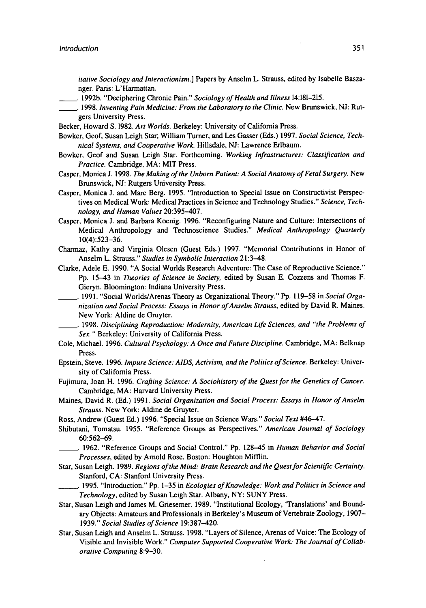*itative Sociology and Interactionism.]* Papers by Anselm L. Strauss, edited by Isabelle Baszanger. Paris: L'Harrnattan.

- -. **1992b.** "Deciphering Chronic Pain." *Sociology of Health and Illness* **14:181-215.**
- -. **1998.** *Inventing Pain Medicine: From the Laboratory to the Clinic.* New Brunswick, NJ: Rutgers University Press.
- Becker, Howard **S. 1982.** *Art Worlds.* Berkeley: University of California Press.
- Bowker, Geof, Susan Leigh Star, William Turner, and **Les** Gasser **(Eds.) 1997.** *Social Science, Technical Systems, and Cooperative Work.* Hillsdale, NJ: Lawrence Erlbaum.
- Bowker, Geof and Susan Leigh Star. Forthcoming. *Working Infrastructures: Classification and Practice.* Cambridge, MA: MIT Press.
- Casper, Monica J. **1998.** *me Making of the Unborn Patient: A Social Anatomy of Fetal Surgery.* New Brunswick, NJ: Rutgers University Press.
- Casper, Monica J. and Marc Berg. **1995.** "Introduction to Special Issue on Constructivist Perspectives on Medical Work: Medical Practices in Science and Technology Studies." *Science, Technology, and Human Values* **20:395-407.**
- Casper, Monica J. and Barbara Koenig. **1996.** "Reconfiguring Nature and Culture: Intersections of Medical Anthropology and Technoscience Studies." *Medical Anthropology Quarterly*  **10(4):523-36.**
- Charmaz, Kathy and Virginia Olesen (Guest Eds.) **1997.** "Memorial Contributions in Honor of Anselm L. Strauss." *Studies in Symbolic Interaction* 21:3-48.

Clarke, Adele E. **1990.** "A Social Worlds Research Adventure: The Case of Reproductive Science." Pp. **1543** in *Theories of Science in Society,* edited by Susan E. Cozzens and Thomas F. Gieryn. Bloomington: Indiana University Press.

- -. **1991.** "Social WorldslArenas Theory **as** Organizational Theory." **Pp. 119-58** in *Social Organization and Social Process: Essays in Honor of Anselm Strauss,* edited by David R. Maines. New York: Aldine de Gruyter.
	- -. **1998.** *Disciplining Reproduction: Modernity, American tife Sciences, and "the Problems* of **Sex.** " Berkeley: University of California Press.
- Cole, Michael. **1996.** *Cultural Psychology: A Once and Future Discipline.* Cambridge, MA: Belknap Press.
- Epstein, Steve. **1996.** *Impure Science: AIDS, Activism, and the Politics of Science.* Berkeley: University of California Press.
- Fujimura, Joan H. **1996.** *Crafting Science: A Sociohistory of the Quest for the Genetics of Cancer.*  Cambridge, MA: Harvard University Press.
- Maines, David R. (Ed.) **1991.** *Social Organization and Social Process: Essays in Honor of Anselm Strauss.* New York: Aldine de Gruyter.
- Ross, Andrew (Guest Ed.) 1996. "Special Issue on Science Wars." Social Text #46-47.
- Shibutani, Tomatsu. **1955.** "Reference Groups **as** Perspectives." *American Journal of Sociology*  **60562-69.** 
	- -. **1962.** "Reference Groups and Social Control." **Pp. 12845** in *Human Behavior and Social Processes,* edited by Arnold Rose. Boston: Houghton Mifflin.
- Star, Susan Leigh. **1989.** *Regions of the Mind: Brain Research and the Quest for Scientific Certainty.*  Stanford, CA: Stanford University Press.
- -. **1995.** "Introduction." Pp. **1-35** in *Ecologies of Knowledge: Work and Politics in Science and Technology,* edited by Susan Leigh Star. Albany, NY: SUNY Press.
- Star, Susan Leigh and James M. Griesemer. **1989.** "Institutional Ecology, 'Translations' and Bound*ary* Objects: Amateurs and Professionals in Berkeley's Museum of Vertebrate Zoology, **1907- 1939."** *Social Studies of Science* **19:387-420.**
- Star, Susan Leigh and Anselm L. Strauss. **1998.** "Layers of Silence, Arenas of Voice: The Ecology of Visible and Invisible Work." *Computer Supported Cooperative Work: The Journal of Collaborative Computing* **8:9-30.**